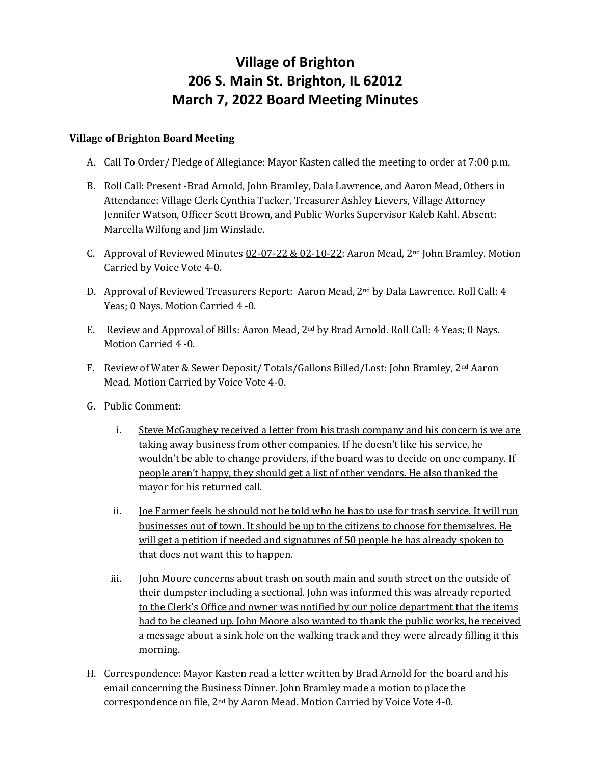# **Village of Brighton 206 S. Main St. Brighton, IL 62012 March 7, 2022 Board Meeting Minutes**

## **Village of Brighton Board Meeting**

- A. Call To Order/ Pledge of Allegiance: Mayor Kasten called the meeting to order at 7:00 p.m.
- B. Roll Call: Present -Brad Arnold, John Bramley, Dala Lawrence, and Aaron Mead, Others in Attendance: Village Clerk Cynthia Tucker, Treasurer Ashley Lievers, Village Attorney Jennifer Watson, Officer Scott Brown, and Public Works Supervisor Kaleb Kahl. Absent: Marcella Wilfong and Jim Winslade.
- C. Approval of Reviewed Minutes  $0.2 0.2 2.2 0.2 1.0 2.2$ : Aaron Mead, 2<sup>nd</sup> John Bramley. Motion Carried by Voice Vote 4-0.
- D. Approval of Reviewed Treasurers Report: Aaron Mead, 2nd by Dala Lawrence. Roll Call: 4 Yeas; 0 Nays. Motion Carried 4 -0.
- E. Review and Approval of Bills: Aaron Mead, 2nd by Brad Arnold. Roll Call: 4 Yeas; 0 Nays. Motion Carried 4 -0.
- F. Review of Water & Sewer Deposit/ Totals/Gallons Billed/Lost: John Bramley, 2nd Aaron Mead. Motion Carried by Voice Vote 4-0.
- G. Public Comment:
	- i. Steve McGaughey received a letter from his trash company and his concern is we are taking away business from other companies. If he doesn't like his service, he wouldn't be able to change providers, if the board was to decide on one company. If people aren't happy, they should get a list of other vendors. He also thanked the mayor for his returned call.
	- ii. Joe Farmer feels he should not be told who he has to use for trash service. It will run businesses out of town. It should be up to the citizens to choose for themselves. He will get a petition if needed and signatures of 50 people he has already spoken to that does not want this to happen.
	- iii. John Moore concerns about trash on south main and south street on the outside of their dumpster including a sectional. John was informed this was already reported to the Clerk's Office and owner was notified by our police department that the items had to be cleaned up. John Moore also wanted to thank the public works, he received a message about a sink hole on the walking track and they were already filling it this morning.
- H. Correspondence: Mayor Kasten read a letter written by Brad Arnold for the board and his email concerning the Business Dinner. John Bramley made a motion to place the correspondence on file, 2nd by Aaron Mead. Motion Carried by Voice Vote 4-0.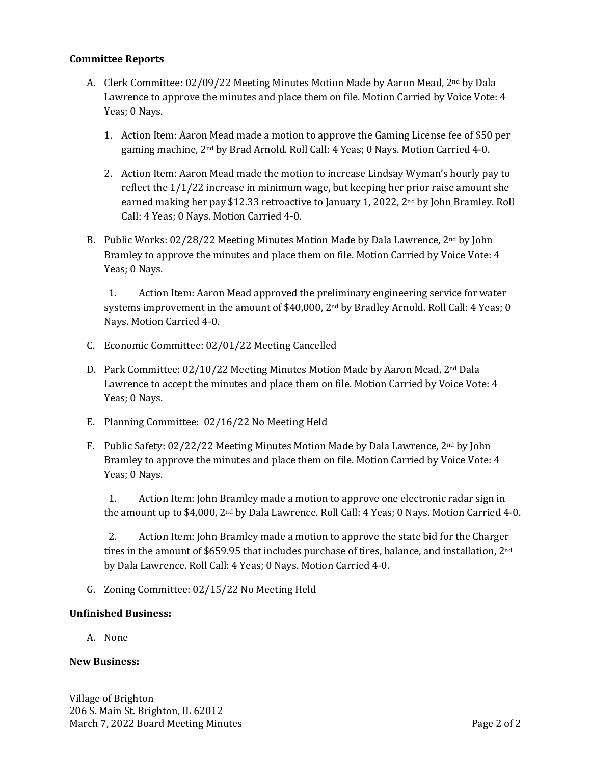## **Committee Reports**

- A. Clerk Committee: 02/09/22 Meeting Minutes Motion Made by Aaron Mead, 2nd by Dala Lawrence to approve the minutes and place them on file. Motion Carried by Voice Vote: 4 Yeas; 0 Nays.
	- 1. Action Item: Aaron Mead made a motion to approve the Gaming License fee of \$50 per gaming machine, 2nd by Brad Arnold. Roll Call: 4 Yeas; 0 Nays. Motion Carried 4-0.
	- 2. Action Item: Aaron Mead made the motion to increase Lindsay Wyman's hourly pay to reflect the 1/1/22 increase in minimum wage, but keeping her prior raise amount she earned making her pay \$12.33 retroactive to January 1, 2022, 2nd by John Bramley. Roll Call: 4 Yeas; 0 Nays. Motion Carried 4-0.
- B. Public Works:  $02/28/22$  Meeting Minutes Motion Made by Dala Lawrence,  $2^{nd}$  by John Bramley to approve the minutes and place them on file. Motion Carried by Voice Vote: 4 Yeas; 0 Nays.

1. Action Item: Aaron Mead approved the preliminary engineering service for water systems improvement in the amount of \$40,000, 2<sup>nd</sup> by Bradley Arnold. Roll Call: 4 Yeas; 0 Nays. Motion Carried 4-0.

- C. Economic Committee: 02/01/22 Meeting Cancelled
- D. Park Committee:  $02/10/22$  Meeting Minutes Motion Made by Aaron Mead, 2<sup>nd</sup> Dala Lawrence to accept the minutes and place them on file. Motion Carried by Voice Vote: 4 Yeas; 0 Nays.
- E. Planning Committee: 02/16/22 No Meeting Held
- F. Public Safety:  $02/22/22$  Meeting Minutes Motion Made by Dala Lawrence,  $2^{nd}$  by John Bramley to approve the minutes and place them on file. Motion Carried by Voice Vote: 4 Yeas; 0 Nays.

1. Action Item: John Bramley made a motion to approve one electronic radar sign in the amount up to \$4,000, 2nd by Dala Lawrence. Roll Call: 4 Yeas; 0 Nays. Motion Carried 4-0.

2. Action Item: John Bramley made a motion to approve the state bid for the Charger tires in the amount of \$659.95 that includes purchase of tires, balance, and installation, 2nd by Dala Lawrence. Roll Call: 4 Yeas; 0 Nays. Motion Carried 4-0.

G. Zoning Committee: 02/15/22 No Meeting Held

#### **Unfinished Business:**

A. None

#### **New Business:**